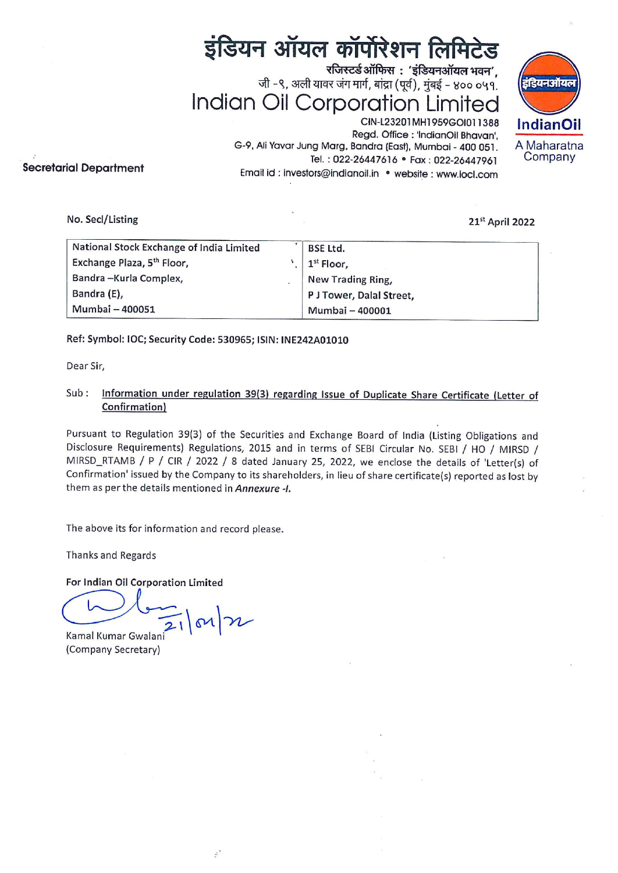# इंडियन ऑयल कॉर्पोरेशन लिमिटेड

जी -९, अली यावर जंग मार्ग, बांद्रा (पूर्व), मुंबई - ४०० ०५१. (इंडियनऑयल)<br>Indian Oil Corporation Limited<br>CIN-L23201MH1959GO1011388 — IndianOil रजिस्टर्ड ऑफिस $\cdot$  'इंडियनऑयल भवन',  $\begin{array}{cc}\n\mathbf{2} & \mathbf{3} \\
\mathbf{4} & -8, 3\pi\n\end{array}$ <br>  $\begin{array}{cc}\n\mathbf{1} & \mathbf{1} \\
\mathbf{1} & \mathbf{1} \\
\mathbf{1} & \mathbf{1} \\
\mathbf{1} & \mathbf{1} \\
\mathbf{1} & \mathbf{1} \\
\mathbf{1} & \mathbf{1} \\
\mathbf{1} & \mathbf{1} \\
\mathbf{1} & \mathbf{1} \\
\mathbf{1} & \mathbf{1} \\
\mathbf{1} & \mathbf{1} \\
\mathbf{1} & \mathbf{1} \\
\mathbf{1} & \mathbf{$ 



Regd. Office : 'IndianOil Bhavan', G-9, Ali Yavar Jung Marg, Bandra (East), Mumbai - 400 051. A Maharatna<br>
Tel: 022-26447616 • Fax: 022-26447961 Company Tel.: 022-26447616 · Fax: 022-26447961 Email id : investors@indianoil.in ° website : www.iocl.com

## Secretarial Department

#### 21° April 2022

| ial Department                           |   | इंडियन ऑयल कॉर्पोरेशन लिमिटेड<br>रजिस्टर्ड ऑफिस: 'इंडियनऑयल भवन',<br>जी -९, अली यावर जंग मार्ग, बांद्रा (पूर्व), मुंबई - ४०० ०५१.<br><b>Indian Oil Corporation Limited</b><br>CIN-L23201MH1959GOI011388<br>Regd. Office : 'IndianOil Bhavan',<br>G-9, Ali Yavar Jung Marg, Bandra (East), Mumbai - 400 051.<br>Tel.: 022-26447616 · Fax: 022-26447961<br>Email id: investors@indianoil.in · website: www.iocl.com | डिय<br>Indi<br>A Ma<br>Cor |
|------------------------------------------|---|-------------------------------------------------------------------------------------------------------------------------------------------------------------------------------------------------------------------------------------------------------------------------------------------------------------------------------------------------------------------------------------------------------------------|----------------------------|
| No. Secl/Listing                         |   | 21st April 2022                                                                                                                                                                                                                                                                                                                                                                                                   |                            |
| National Stock Exchange of India Limited |   | <b>BSE Ltd.</b>                                                                                                                                                                                                                                                                                                                                                                                                   |                            |
| Exchange Plaza, 5 <sup>th</sup> Floor,   | 4 | 1 <sup>st</sup> Floor,                                                                                                                                                                                                                                                                                                                                                                                            |                            |
| Bandra-Kurla Complex,                    |   | New Trading Ring,                                                                                                                                                                                                                                                                                                                                                                                                 |                            |
|                                          |   | P J Tower, Dalal Street,                                                                                                                                                                                                                                                                                                                                                                                          |                            |
| Bandra (E),<br>Mumbai - 400051           |   | Mumbai - 400001                                                                                                                                                                                                                                                                                                                                                                                                   |                            |

### Ref: Symbol: IOC; Security Code: 530965; ISIN: INE242A01010

Dear Sir,

## Sub: Information under regulation 39(3) regarding Issue of Duplicate Share Certificate (Letter of Confirmation)

Pursuant to Regulation 39(3) of the Securities and Exchange Board of India (Listing Obligations and Disclosure Requirements) Regulations, 2015 and in terms of SEBI Circular No. SEBI / HO / MIRSD / MIRSD\_RTAMB / P / CIR / 2022 / 8 dated January 25, 2022, we enclose the details of 'Letter(s) of Confirmation' issued by the Company to its shareholders, in lieu of share certificate(s) reported as lost by them as per the details mentioned in Annexure -I.

The above its for information and record please.

Thanks and Regards

For Indian Oil Corporation Limited

 $|m|$ Kamal Kumar Gwalani

(Company Secretary)